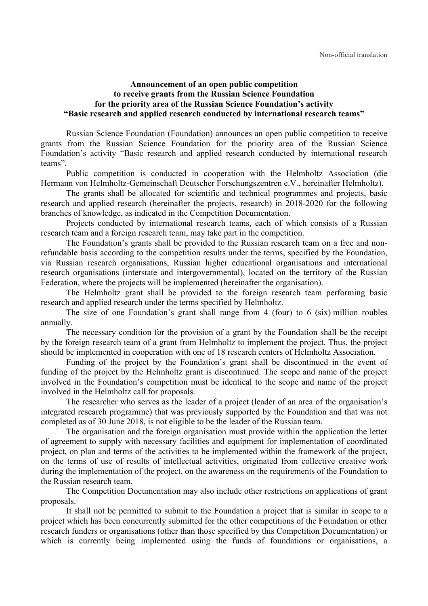## **Announcement of an open public competition to receive grants from the Russian Science Foundation for the priority area of the Russian Science Foundation's activity "Basic research and applied research conducted by international research teams"**

Russian Science Foundation (Foundation) announces an open public competition to receive grants from the Russian Science Foundation for the priority area of the Russian Science Foundation's activity "Basic research and applied research conducted by international research teams".

Public competition is conducted in cooperation with the Helmholtz Association (die Hermann von Helmholtz-Gemeinschaft Deutscher Forschungszentren e.V., hereinafter Helmholtz).

The grants shall be allocated for scientific and technical programmes and projects, basic research and applied research (hereinafter the projects, research) in 2018-2020 for the following branches of knowledge, as indicated in the Competition Documentation.

Projects conducted by international research teams, each of which consists of a Russian research team and a foreign research team, may take part in the competition.

The Foundation's grants shall be provided to the Russian research team on a free and nonrefundable basis according to the competition results under the terms, specified by the Foundation, via Russian research organisations, Russian higher educational organisations and international research organisations (interstate and intergovernmental), located on the territory of the Russian Federation, where the projects will be implemented (hereinafter the organisation).

The Helmholtz grant shall be provided to the foreign research team performing basic research and applied research under the terms specified by Helmholtz.

The size of one Foundation's grant shall range from 4 (four) to 6 (six) million roubles annually.

The necessary condition for the provision of a grant by the Foundation shall be the receipt by the foreign research team of a grant from Helmholtz to implement the project. Thus, the project should be implemented in cooperation with one of 18 research centers of Helmholtz Association.

Funding of the project by the Foundation's grant shall be discontinued in the event of funding of the project by the Helmholtz grant is discontinued. The scope and name of the project involved in the Foundation's competition must be identical to the scope and name of the project involved in the Helmholtz call for proposals.

The researcher who serves as the leader of a project (leader of an area of the organisation's integrated research programme) that was previously supported by the Foundation and that was not completed as of 30 June 2018, is not eligible to be the leader of the Russian team.

The organisation and the foreign organisation must provide within the application the letter of agreement to supply with necessary facilities and equipment for implementation of coordinated project, on plan and terms of the activities to be implemented within the framework of the project, on the terms of use of results of intellectual activities, originated from collective creative work during the implementation of the project, on the awareness on the requirements of the Foundation to the Russian research team.

The Competition Documentation may also include other restrictions on applications of grant proposals.

It shall not be permitted to submit to the Foundation a project that is similar in scope to a project which has been concurrently submitted for the other competitions of the Foundation or other research funders or organisations (other than those specified by this Competition Documentation) or which is currently being implemented using the funds of foundations or organisations, a